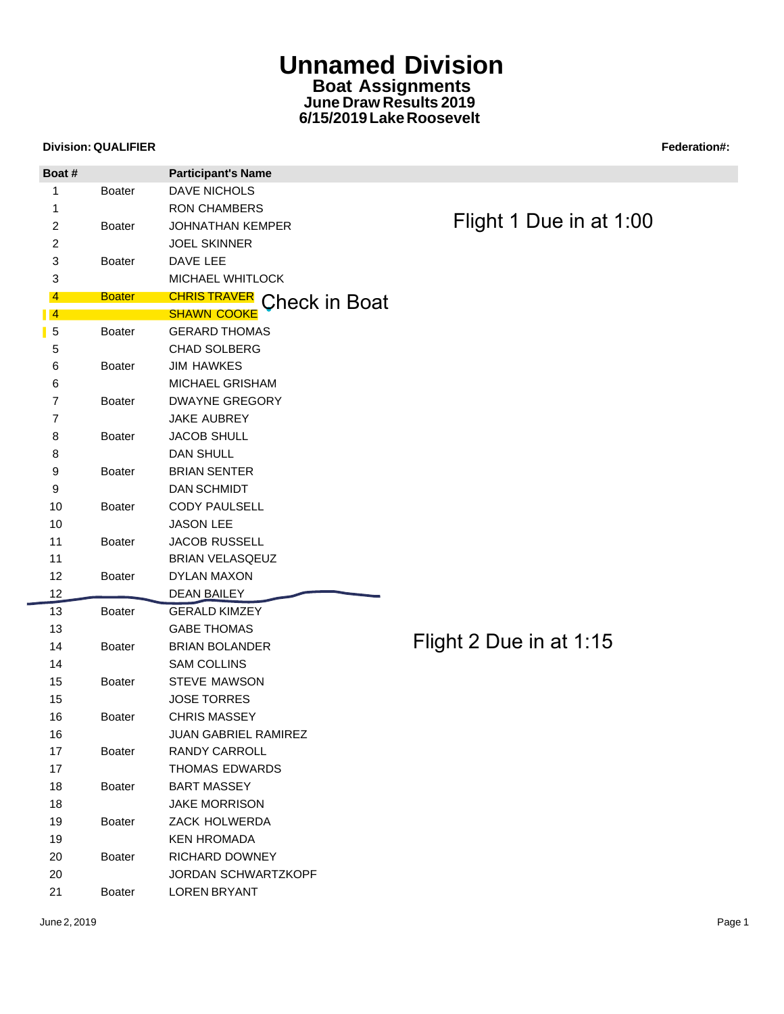## **Unnamed Division Boat Assignments June Draw Results 2019 6/15/2019 Lake Roosevelt**

## **Division: QUALIFIER Federation Account Contract Contract Contract Contract Contract Contract Contract Contract Contract Contract Contract Contract Contract Contract Contract Contract Contract Contract Contract Contract Co**

| Boat #          |               | <b>Participant's Name</b>        |                         |
|-----------------|---------------|----------------------------------|-------------------------|
| 1               | <b>Boater</b> | <b>DAVE NICHOLS</b>              |                         |
| 1               |               | <b>RON CHAMBERS</b>              |                         |
| $\overline{c}$  | <b>Boater</b> | <b>JOHNATHAN KEMPER</b>          | Flight 1 Due in at 1:00 |
| $\overline{c}$  |               | <b>JOEL SKINNER</b>              |                         |
| 3               | <b>Boater</b> | DAVE LEE                         |                         |
| 3               |               | MICHAEL WHITLOCK                 |                         |
| 4               | <b>Boater</b> | <b>CHRISTRAVER</b> Check in Boat |                         |
| $\blacksquare$  |               | <b>SHAWN COOKE</b>               |                         |
| 5               | <b>Boater</b> | <b>GERARD THOMAS</b>             |                         |
| 5               |               | <b>CHAD SOLBERG</b>              |                         |
| 6               | <b>Boater</b> | <b>JIM HAWKES</b>                |                         |
| 6               |               | MICHAEL GRISHAM                  |                         |
| $\overline{7}$  | <b>Boater</b> | <b>DWAYNE GREGORY</b>            |                         |
| 7               |               | <b>JAKE AUBREY</b>               |                         |
| 8               | Boater        | <b>JACOB SHULL</b>               |                         |
| 8               |               | <b>DAN SHULL</b>                 |                         |
| 9               | <b>Boater</b> | <b>BRIAN SENTER</b>              |                         |
| 9               |               | <b>DAN SCHMIDT</b>               |                         |
| 10              | Boater        | CODY PAULSELL                    |                         |
| 10              |               | <b>JASON LEE</b>                 |                         |
| 11              | <b>Boater</b> | JACOB RUSSELL                    |                         |
| 11              |               | <b>BRIAN VELASQEUZ</b>           |                         |
| 12 <sup>2</sup> | <b>Boater</b> | DYLAN MAXON                      |                         |
| 12              |               | <b>DEAN BAILEY</b>               |                         |
| 13              | <b>Boater</b> | <b>GERALD KIMZEY</b>             |                         |
| 13              |               | <b>GABE THOMAS</b>               |                         |
| 14              | <b>Boater</b> | <b>BRIAN BOLANDER</b>            | Flight 2 Due in at 1:15 |
| 14              |               | <b>SAM COLLINS</b>               |                         |
| 15              | <b>Boater</b> | <b>STEVE MAWSON</b>              |                         |
| 15              |               | <b>JOSE TORRES</b>               |                         |
| 16              | <b>Boater</b> | <b>CHRIS MASSEY</b>              |                         |
| 16              |               | JUAN GABRIEL RAMIREZ             |                         |
| 17              | Boater        | RANDY CARROLL                    |                         |
| 17              |               | THOMAS EDWARDS                   |                         |
| 18              | Boater        | <b>BART MASSEY</b>               |                         |
| 18              |               | <b>JAKE MORRISON</b>             |                         |
| 19              | <b>Boater</b> | ZACK HOLWERDA                    |                         |
| 19              |               | <b>KEN HROMADA</b>               |                         |
| 20              | Boater        | RICHARD DOWNEY                   |                         |
| 20              |               | JORDAN SCHWARTZKOPF              |                         |
| 21              | Boater        | <b>LOREN BRYANT</b>              |                         |